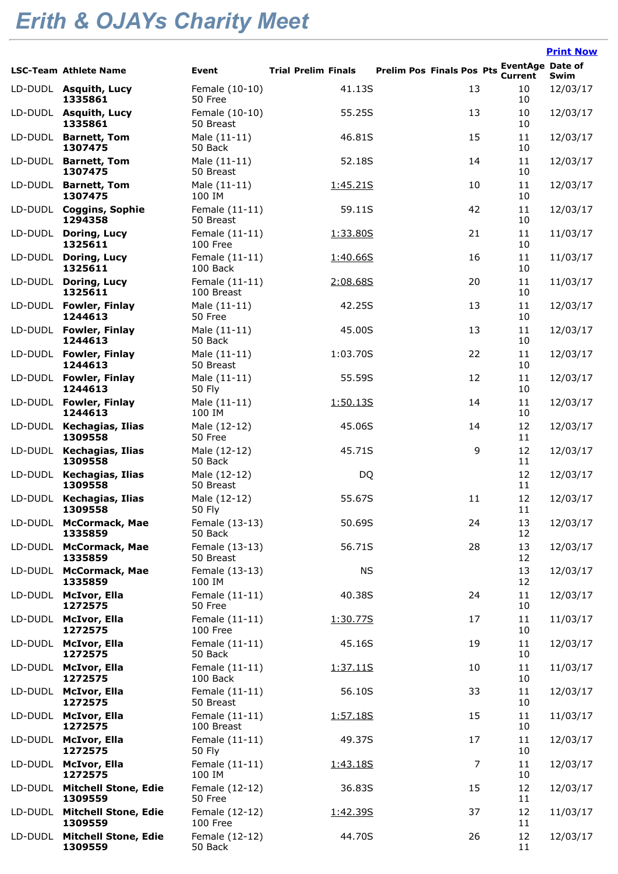## *Erith & OJAYs Charity Meet*

|         |                                        |                               |                            |                                  |                                           | <b>Print Now</b> |
|---------|----------------------------------------|-------------------------------|----------------------------|----------------------------------|-------------------------------------------|------------------|
|         | <b>LSC-Team Athlete Name</b>           | Event                         | <b>Trial Prelim Finals</b> | <b>Prelim Pos Finals Pos Pts</b> | <b>EventAge Date of</b><br><b>Current</b> | Swim             |
|         | LD-DUDL Asquith, Lucy<br>1335861       | Female (10-10)<br>50 Free     | 41.13S                     | 13                               | 10<br>10                                  | 12/03/17         |
|         | LD-DUDL Asquith, Lucy<br>1335861       | Female (10-10)<br>50 Breast   | 55.25S                     | 13                               | 10<br>10                                  | 12/03/17         |
| LD-DUDL | <b>Barnett, Tom</b><br>1307475         | Male (11-11)<br>50 Back       | 46.81S                     | 15                               | 11<br>10                                  | 12/03/17         |
| LD-DUDL | <b>Barnett, Tom</b><br>1307475         | Male (11-11)<br>50 Breast     | 52.18S                     | 14                               | 11<br>10                                  | 12/03/17         |
| LD-DUDL | <b>Barnett, Tom</b><br>1307475         | Male (11-11)<br>100 IM        | 1:45.21S                   | 10                               | 11<br>10                                  | 12/03/17         |
|         | LD-DUDL Coggins, Sophie<br>1294358     | Female (11-11)<br>50 Breast   | 59.11S                     | 42                               | 11<br>10                                  | 12/03/17         |
| LD-DUDL | Doring, Lucy<br>1325611                | Female (11-11)<br>100 Free    | 1:33.80S                   | 21                               | 11<br>10                                  | 11/03/17         |
| LD-DUDL | Doring, Lucy<br>1325611                | Female (11-11)<br>100 Back    | 1:40.66S                   | 16                               | 11<br>10                                  | 11/03/17         |
| LD-DUDL | Doring, Lucy<br>1325611                | Female (11-11)<br>100 Breast  | 2:08.68S                   | 20                               | 11<br>10                                  | 11/03/17         |
| LD-DUDL | <b>Fowler, Finlay</b><br>1244613       | Male (11-11)<br>50 Free       | 42.25S                     | 13                               | 11<br>10                                  | 12/03/17         |
| LD-DUDL | <b>Fowler, Finlay</b><br>1244613       | Male (11-11)<br>50 Back       | 45.00S                     | 13                               | 11<br>10                                  | 12/03/17         |
| LD-DUDL | <b>Fowler, Finlay</b><br>1244613       | Male (11-11)<br>50 Breast     | 1:03.70S                   | 22                               | 11<br>10                                  | 12/03/17         |
|         | LD-DUDL Fowler, Finlay<br>1244613      | Male (11-11)<br><b>50 Fly</b> | 55.59S                     | 12                               | 11<br>10                                  | 12/03/17         |
|         | LD-DUDL Fowler, Finlay<br>1244613      | Male (11-11)<br>100 IM        | <u>1:50.13S</u>            | 14                               | 11<br>10                                  | 12/03/17         |
|         | LD-DUDL Kechagias, Ilias<br>1309558    | Male (12-12)<br>50 Free       | 45.06S                     | 14                               | 12<br>11                                  | 12/03/17         |
| LD-DUDL | Kechagias, Ilias<br>1309558            | Male (12-12)<br>50 Back       | 45.71S                     | 9                                | 12<br>11                                  | 12/03/17         |
| LD-DUDL | Kechagias, Ilias<br>1309558            | Male (12-12)<br>50 Breast     | DQ                         |                                  | 12<br>11                                  | 12/03/17         |
| LD-DUDL | Kechagias, Ilias<br>1309558            | Male (12-12)<br><b>50 Fly</b> | 55.67S                     | 11                               | 12<br>11                                  | 12/03/17         |
|         | LD-DUDL McCormack, Mae<br>1335859      | Female (13-13)<br>50 Back     | 50.69S                     | 24                               | 13<br>12                                  | 12/03/17         |
|         | LD-DUDL McCormack, Mae<br>1335859      | Female (13-13)<br>50 Breast   | 56.71S                     | 28                               | 13<br>12                                  | 12/03/17         |
|         | LD-DUDL McCormack, Mae<br>1335859      | Female (13-13)<br>100 IM      | <b>NS</b>                  |                                  | 13<br>12                                  | 12/03/17         |
|         | LD-DUDL McIvor, Ella<br>1272575        | Female (11-11)<br>50 Free     | 40.38S                     | 24                               | 11<br>10                                  | 12/03/17         |
| LD-DUDL | <b>McIvor, Ella</b><br>1272575         | Female (11-11)<br>100 Free    | 1:30.77S                   | 17                               | 11<br>10                                  | 11/03/17         |
| LD-DUDL | <b>McIvor, Ella</b><br>1272575         | Female (11-11)<br>50 Back     | 45.16S                     | 19                               | 11<br>10                                  | 12/03/17         |
| LD-DUDL | <b>McIvor, Ella</b><br>1272575         | Female (11-11)<br>100 Back    | 1:37.11S                   | 10                               | $11\,$<br>10                              | 11/03/17         |
| LD-DUDL | McIvor, Ella<br>1272575                | Female (11-11)<br>50 Breast   | 56.10S                     | 33                               | $11\,$<br>10                              | 12/03/17         |
| LD-DUDL | <b>McIvor, Ella</b><br>1272575         | Female (11-11)<br>100 Breast  | 1:57.18S                   | 15                               | $11\,$<br>10                              | 11/03/17         |
| LD-DUDL | <b>McIvor, Ella</b><br>1272575         | Female (11-11)<br>50 Fly      | 49.37S                     | 17                               | $11\,$<br>10                              | 12/03/17         |
| LD-DUDL | <b>McIvor, Ella</b><br>1272575         | Female (11-11)<br>100 IM      | 1:43.18S                   | $\overline{7}$                   | 11<br>10                                  | 12/03/17         |
| LD-DUDL | <b>Mitchell Stone, Edie</b><br>1309559 | Female (12-12)<br>50 Free     | 36.83S                     | 15                               | 12<br>11                                  | 12/03/17         |
| LD-DUDL | <b>Mitchell Stone, Edie</b><br>1309559 | Female (12-12)<br>100 Free    | 1:42.39S                   | 37                               | 12<br>11                                  | 11/03/17         |
| LD-DUDL | <b>Mitchell Stone, Edie</b><br>1309559 | Female (12-12)<br>50 Back     | 44.70S                     | 26                               | 12<br>11                                  | 12/03/17         |